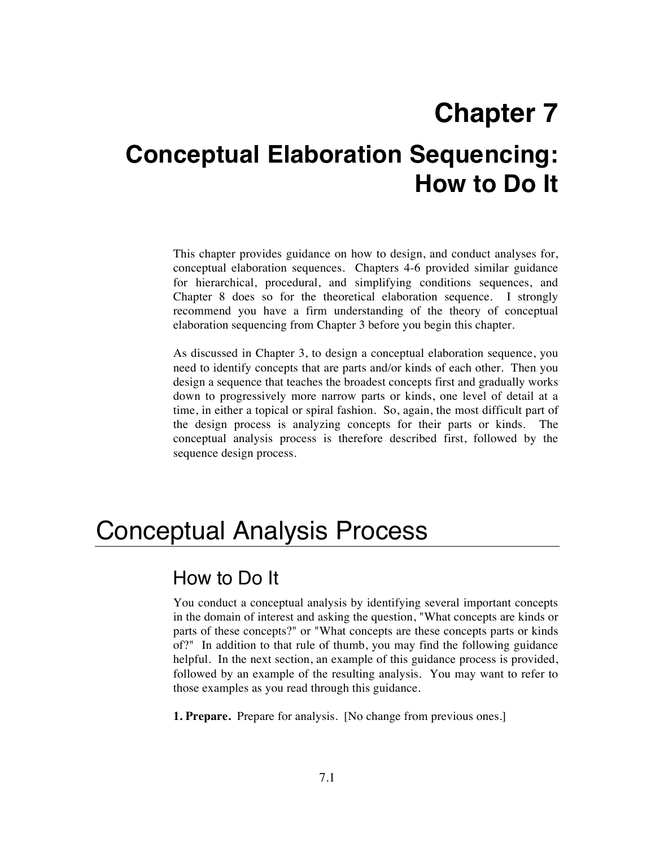# **Chapter 7**

# **Conceptual Elaboration Sequencing: How to Do It**

This chapter provides guidance on how to design, and conduct analyses for, conceptual elaboration sequences. Chapters 4-6 provided similar guidance for hierarchical, procedural, and simplifying conditions sequences, and Chapter 8 does so for the theoretical elaboration sequence. I strongly recommend you have a firm understanding of the theory of conceptual elaboration sequencing from Chapter 3 before you begin this chapter.

As discussed in Chapter 3, to design a conceptual elaboration sequence, you need to identify concepts that are parts and/or kinds of each other. Then you design a sequence that teaches the broadest concepts first and gradually works down to progressively more narrow parts or kinds, one level of detail at a time, in either a topical or spiral fashion. So, again, the most difficult part of the design process is analyzing concepts for their parts or kinds. The conceptual analysis process is therefore described first, followed by the sequence design process.

## Conceptual Analysis Process

### How to Do It

You conduct a conceptual analysis by identifying several important concepts in the domain of interest and asking the question, "What concepts are kinds or parts of these concepts?" or "What concepts are these concepts parts or kinds of?" In addition to that rule of thumb, you may find the following guidance helpful. In the next section, an example of this guidance process is provided, followed by an example of the resulting analysis. You may want to refer to those examples as you read through this guidance.

**1. Prepare.** Prepare for analysis. [No change from previous ones.]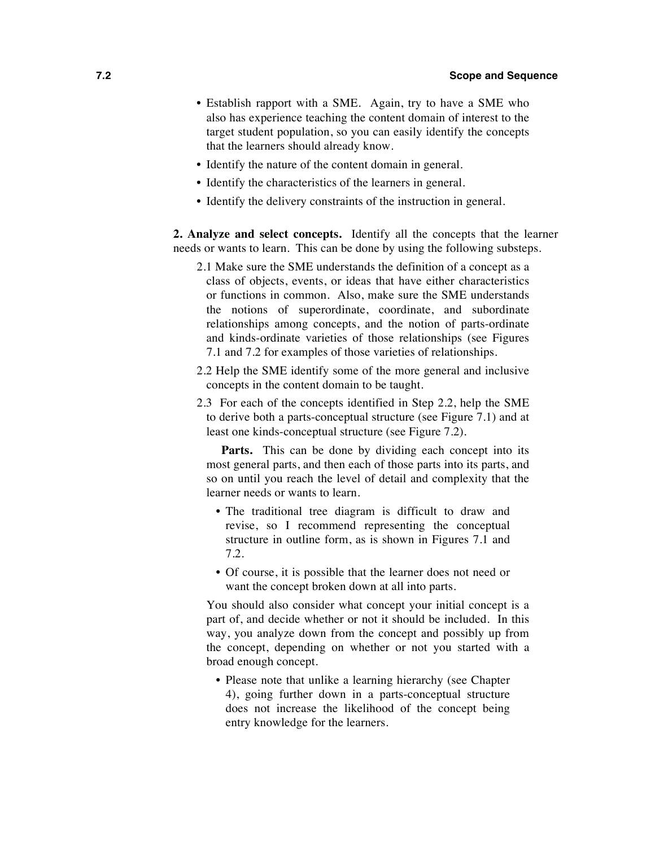- Establish rapport with a SME. Again, try to have a SME who also has experience teaching the content domain of interest to the target student population, so you can easily identify the concepts that the learners should already know.
- Identify the nature of the content domain in general.
- Identify the characteristics of the learners in general.
- Identify the delivery constraints of the instruction in general.

**2. Analyze and select concepts.** Identify all the concepts that the learner needs or wants to learn. This can be done by using the following substeps.

- 2.1 Make sure the SME understands the definition of a concept as a class of objects, events, or ideas that have either characteristics or functions in common. Also, make sure the SME understands the notions of superordinate, coordinate, and subordinate relationships among concepts, and the notion of parts-ordinate and kinds-ordinate varieties of those relationships (see Figures 7.1 and 7.2 for examples of those varieties of relationships.
- 2.2 Help the SME identify some of the more general and inclusive concepts in the content domain to be taught.
- 2.3 For each of the concepts identified in Step 2.2, help the SME to derive both a parts-conceptual structure (see Figure 7.1) and at least one kinds-conceptual structure (see Figure 7.2).

Parts. This can be done by dividing each concept into its most general parts, and then each of those parts into its parts, and so on until you reach the level of detail and complexity that the learner needs or wants to learn.

- The traditional tree diagram is difficult to draw and revise, so I recommend representing the conceptual structure in outline form, as is shown in Figures 7.1 and 7.2.
- Of course, it is possible that the learner does not need or want the concept broken down at all into parts.

You should also consider what concept your initial concept is a part of, and decide whether or not it should be included. In this way, you analyze down from the concept and possibly up from the concept, depending on whether or not you started with a broad enough concept.

• Please note that unlike a learning hierarchy (see Chapter 4), going further down in a parts-conceptual structure does not increase the likelihood of the concept being entry knowledge for the learners.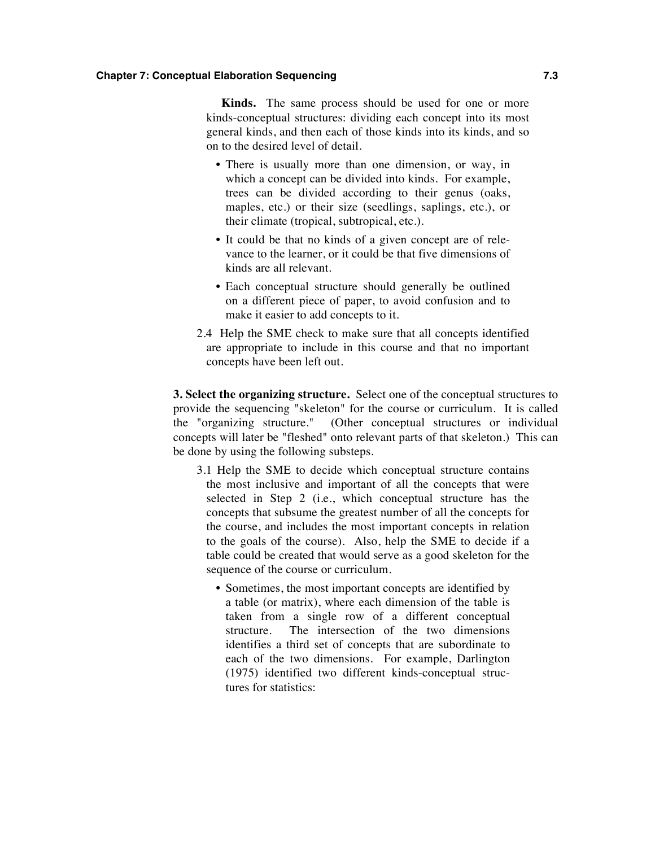#### **Chapter 7: Conceptual Elaboration Sequencing 7.3**

**Kinds.** The same process should be used for one or more kinds-conceptual structures: dividing each concept into its most general kinds, and then each of those kinds into its kinds, and so on to the desired level of detail.

- There is usually more than one dimension, or way, in which a concept can be divided into kinds. For example, trees can be divided according to their genus (oaks, maples, etc.) or their size (seedlings, saplings, etc.), or their climate (tropical, subtropical, etc.).
- It could be that no kinds of a given concept are of relevance to the learner, or it could be that five dimensions of kinds are all relevant.
- Each conceptual structure should generally be outlined on a different piece of paper, to avoid confusion and to make it easier to add concepts to it.
- 2.4 Help the SME check to make sure that all concepts identified are appropriate to include in this course and that no important concepts have been left out.

**3. Select the organizing structure.** Select one of the conceptual structures to provide the sequencing "skeleton" for the course or curriculum. It is called the "organizing structure." (Other conceptual structures or individual concepts will later be "fleshed" onto relevant parts of that skeleton.) This can be done by using the following substeps.

- 3.1 Help the SME to decide which conceptual structure contains the most inclusive and important of all the concepts that were selected in Step 2 (i.e., which conceptual structure has the concepts that subsume the greatest number of all the concepts for the course, and includes the most important concepts in relation to the goals of the course). Also, help the SME to decide if a table could be created that would serve as a good skeleton for the sequence of the course or curriculum.
	- Sometimes, the most important concepts are identified by a table (or matrix), where each dimension of the table is taken from a single row of a different conceptual structure. The intersection of the two dimensions identifies a third set of concepts that are subordinate to each of the two dimensions. For example, Darlington (1975) identified two different kinds-conceptual structures for statistics: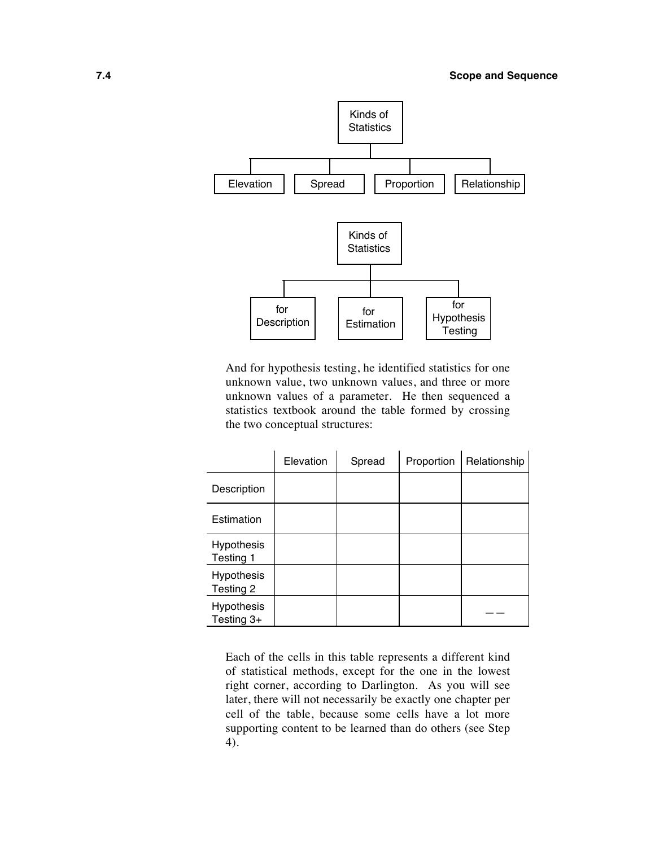

And for hypothesis testing, he identified statistics for one unknown value, two unknown values, and three or more unknown values of a parameter. He then sequenced a statistics textbook around the table formed by crossing the two conceptual structures:

|                                 | Elevation | Spread | Proportion | Relationship |
|---------------------------------|-----------|--------|------------|--------------|
| Description                     |           |        |            |              |
| Estimation                      |           |        |            |              |
| <b>Hypothesis</b><br>Testing 1  |           |        |            |              |
| <b>Hypothesis</b><br>Testing 2  |           |        |            |              |
| <b>Hypothesis</b><br>Testing 3+ |           |        |            |              |

Each of the cells in this table represents a different kind of statistical methods, except for the one in the lowest right corner, according to Darlington. As you will see later, there will not necessarily be exactly one chapter per cell of the table, because some cells have a lot more supporting content to be learned than do others (see Step 4).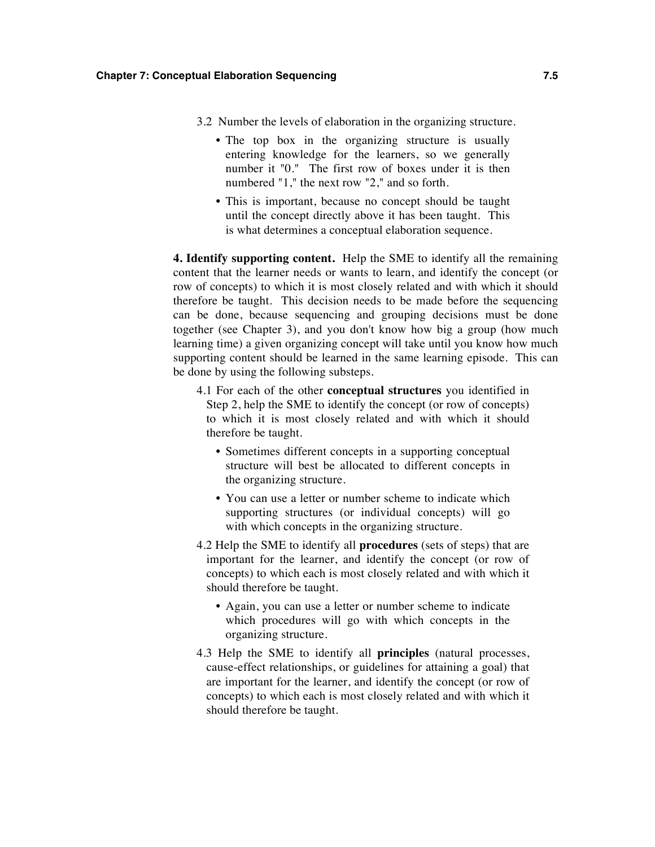- 3.2 Number the levels of elaboration in the organizing structure.
	- The top box in the organizing structure is usually entering knowledge for the learners, so we generally number it "0." The first row of boxes under it is then numbered "1," the next row "2," and so forth.
	- This is important, because no concept should be taught until the concept directly above it has been taught. This is what determines a conceptual elaboration sequence.

**4. Identify supporting content.** Help the SME to identify all the remaining content that the learner needs or wants to learn, and identify the concept (or row of concepts) to which it is most closely related and with which it should therefore be taught. This decision needs to be made before the sequencing can be done, because sequencing and grouping decisions must be done together (see Chapter 3), and you don't know how big a group (how much learning time) a given organizing concept will take until you know how much supporting content should be learned in the same learning episode. This can be done by using the following substeps.

- 4.1 For each of the other **conceptual structures** you identified in Step 2, help the SME to identify the concept (or row of concepts) to which it is most closely related and with which it should therefore be taught.
	- Sometimes different concepts in a supporting conceptual structure will best be allocated to different concepts in the organizing structure.
	- You can use a letter or number scheme to indicate which supporting structures (or individual concepts) will go with which concepts in the organizing structure.
- 4.2 Help the SME to identify all **procedures** (sets of steps) that are important for the learner, and identify the concept (or row of concepts) to which each is most closely related and with which it should therefore be taught.
	- Again, you can use a letter or number scheme to indicate which procedures will go with which concepts in the organizing structure.
- 4.3 Help the SME to identify all **principles** (natural processes, cause-effect relationships, or guidelines for attaining a goal) that are important for the learner, and identify the concept (or row of concepts) to which each is most closely related and with which it should therefore be taught.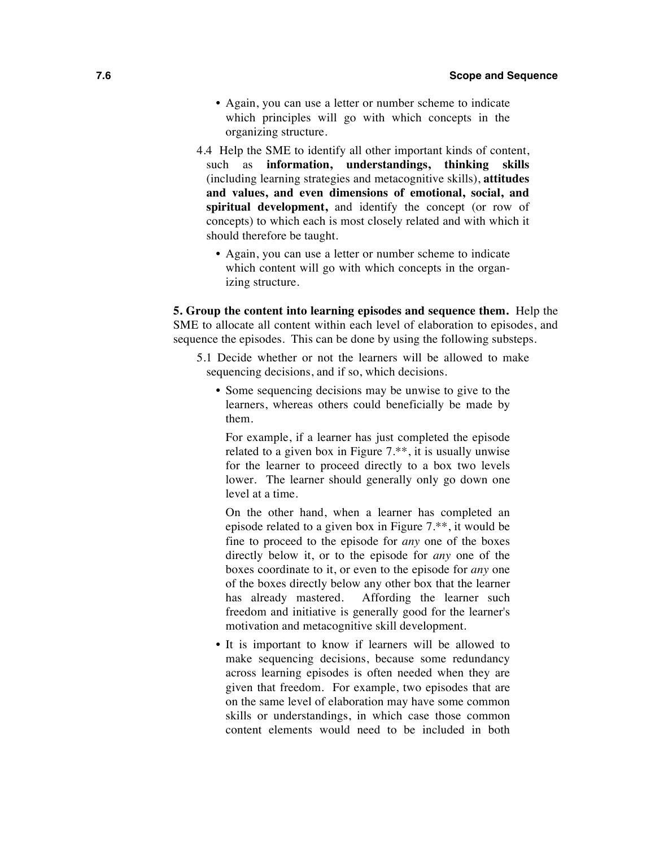- Again, you can use a letter or number scheme to indicate which principles will go with which concepts in the organizing structure.
- 4.4 Help the SME to identify all other important kinds of content, such as **information, understandings, thinking skills**  (including learning strategies and metacognitive skills), **attitudes and values, and even dimensions of emotional, social, and spiritual development,** and identify the concept (or row of concepts) to which each is most closely related and with which it should therefore be taught.
	- Again, you can use a letter or number scheme to indicate which content will go with which concepts in the organizing structure.

**5. Group the content into learning episodes and sequence them.** Help the SME to allocate all content within each level of elaboration to episodes, and sequence the episodes. This can be done by using the following substeps.

- 5.1 Decide whether or not the learners will be allowed to make sequencing decisions, and if so, which decisions.
	- Some sequencing decisions may be unwise to give to the learners, whereas others could beneficially be made by them.

For example, if a learner has just completed the episode related to a given box in Figure 7.\*\*, it is usually unwise for the learner to proceed directly to a box two levels lower. The learner should generally only go down one level at a time.

On the other hand, when a learner has completed an episode related to a given box in Figure 7.\*\*, it would be fine to proceed to the episode for *any* one of the boxes directly below it, or to the episode for *any* one of the boxes coordinate to it, or even to the episode for *any* one of the boxes directly below any other box that the learner has already mastered. Affording the learner such freedom and initiative is generally good for the learner's motivation and metacognitive skill development.

• It is important to know if learners will be allowed to make sequencing decisions, because some redundancy across learning episodes is often needed when they are given that freedom. For example, two episodes that are on the same level of elaboration may have some common skills or understandings, in which case those common content elements would need to be included in both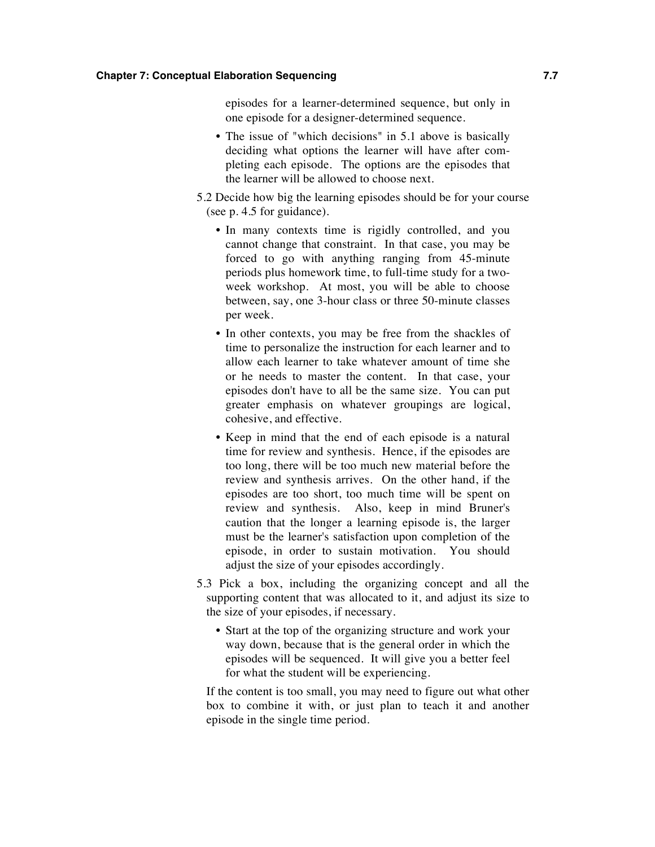#### **Chapter 7: Conceptual Elaboration Sequencing 7.7**

episodes for a learner-determined sequence, but only in one episode for a designer-determined sequence.

- The issue of "which decisions" in 5.1 above is basically deciding what options the learner will have after completing each episode. The options are the episodes that the learner will be allowed to choose next.
- 5.2 Decide how big the learning episodes should be for your course (see p. 4.5 for guidance).
	- In many contexts time is rigidly controlled, and you cannot change that constraint. In that case, you may be forced to go with anything ranging from 45-minute periods plus homework time, to full-time study for a twoweek workshop. At most, you will be able to choose between, say, one 3-hour class or three 50-minute classes per week.
	- In other contexts, you may be free from the shackles of time to personalize the instruction for each learner and to allow each learner to take whatever amount of time she or he needs to master the content. In that case, your episodes don't have to all be the same size. You can put greater emphasis on whatever groupings are logical, cohesive, and effective.
	- Keep in mind that the end of each episode is a natural time for review and synthesis. Hence, if the episodes are too long, there will be too much new material before the review and synthesis arrives. On the other hand, if the episodes are too short, too much time will be spent on review and synthesis. Also, keep in mind Bruner's caution that the longer a learning episode is, the larger must be the learner's satisfaction upon completion of the episode, in order to sustain motivation. You should adjust the size of your episodes accordingly.
- 5.3 Pick a box, including the organizing concept and all the supporting content that was allocated to it, and adjust its size to the size of your episodes, if necessary.
	- Start at the top of the organizing structure and work your way down, because that is the general order in which the episodes will be sequenced. It will give you a better feel for what the student will be experiencing.

If the content is too small, you may need to figure out what other box to combine it with, or just plan to teach it and another episode in the single time period.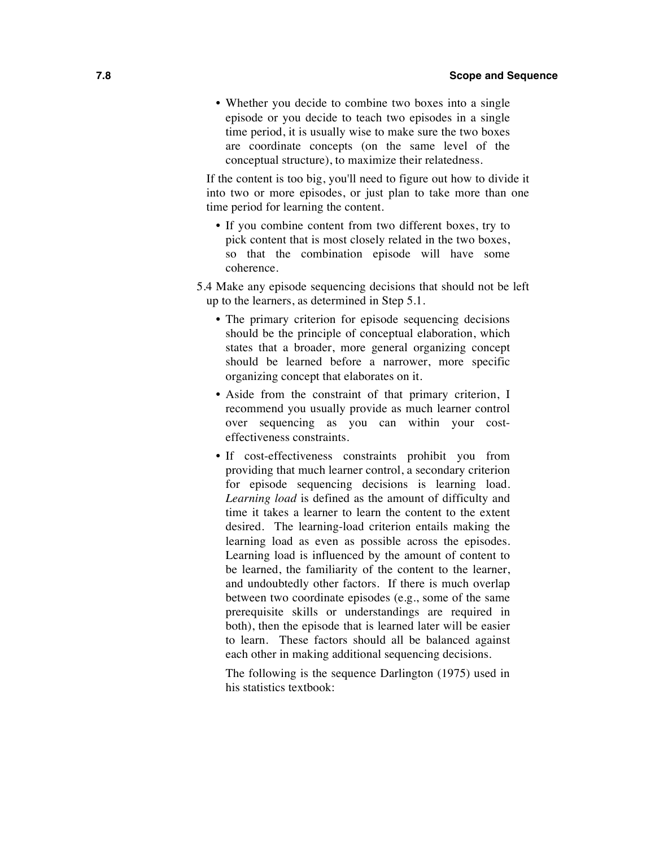• Whether you decide to combine two boxes into a single episode or you decide to teach two episodes in a single time period, it is usually wise to make sure the two boxes are coordinate concepts (on the same level of the conceptual structure), to maximize their relatedness.

If the content is too big, you'll need to figure out how to divide it into two or more episodes, or just plan to take more than one time period for learning the content.

- If you combine content from two different boxes, try to pick content that is most closely related in the two boxes, so that the combination episode will have some coherence.
- 5.4 Make any episode sequencing decisions that should not be left up to the learners, as determined in Step 5.1.
	- The primary criterion for episode sequencing decisions should be the principle of conceptual elaboration, which states that a broader, more general organizing concept should be learned before a narrower, more specific organizing concept that elaborates on it.
	- Aside from the constraint of that primary criterion, I recommend you usually provide as much learner control over sequencing as you can within your costeffectiveness constraints.
	- If cost-effectiveness constraints prohibit you from providing that much learner control, a secondary criterion for episode sequencing decisions is learning load. *Learning load* is defined as the amount of difficulty and time it takes a learner to learn the content to the extent desired. The learning-load criterion entails making the learning load as even as possible across the episodes. Learning load is influenced by the amount of content to be learned, the familiarity of the content to the learner, and undoubtedly other factors. If there is much overlap between two coordinate episodes (e.g., some of the same prerequisite skills or understandings are required in both), then the episode that is learned later will be easier to learn. These factors should all be balanced against each other in making additional sequencing decisions.

The following is the sequence Darlington (1975) used in his statistics textbook: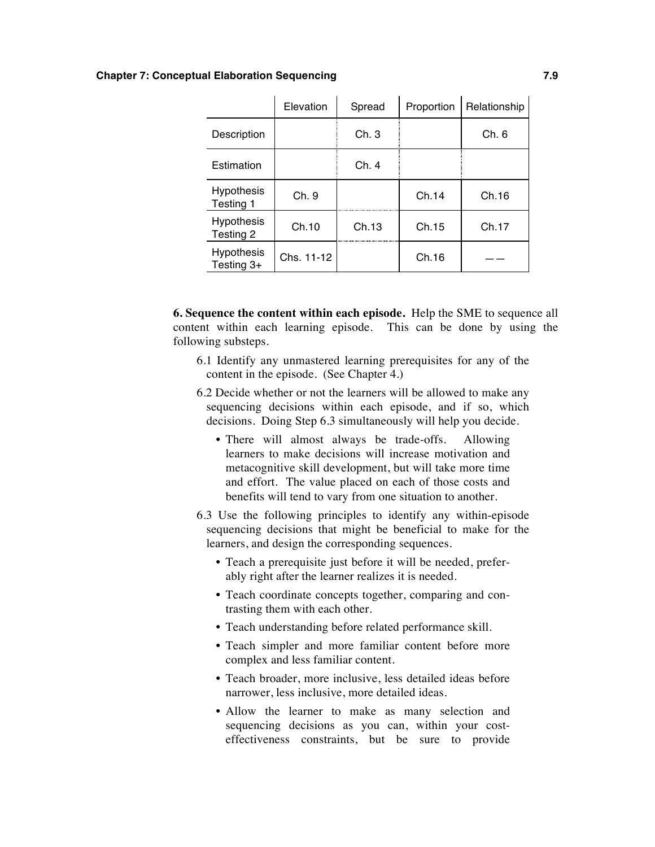#### **Chapter 7: Conceptual Elaboration Sequencing 7.9**

|                                 | Elevation  | Spread | Proportion | Relationship |
|---------------------------------|------------|--------|------------|--------------|
| Description                     |            | Ch.3   |            | Ch. 6        |
| Estimation                      |            | Ch. 4  |            |              |
| <b>Hypothesis</b><br>Testing 1  | Ch. 9      |        | Ch.14      | Ch.16        |
| <b>Hypothesis</b><br>Testing 2  | Ch.10      | Ch.13  | Ch.15      | Ch.17        |
| <b>Hypothesis</b><br>Testing 3+ | Chs. 11-12 |        | Ch.16      |              |

**6. Sequence the content within each episode.** Help the SME to sequence all content within each learning episode. This can be done by using the following substeps.

- 6.1 Identify any unmastered learning prerequisites for any of the content in the episode. (See Chapter 4.)
- 6.2 Decide whether or not the learners will be allowed to make any sequencing decisions within each episode, and if so, which decisions. Doing Step 6.3 simultaneously will help you decide.
	- There will almost always be trade-offs. Allowing learners to make decisions will increase motivation and metacognitive skill development, but will take more time and effort. The value placed on each of those costs and benefits will tend to vary from one situation to another.
- 6.3 Use the following principles to identify any within-episode sequencing decisions that might be beneficial to make for the learners, and design the corresponding sequences.
	- Teach a prerequisite just before it will be needed, preferably right after the learner realizes it is needed.
	- Teach coordinate concepts together, comparing and contrasting them with each other.
	- Teach understanding before related performance skill.
	- Teach simpler and more familiar content before more complex and less familiar content.
	- Teach broader, more inclusive, less detailed ideas before narrower, less inclusive, more detailed ideas.
	- Allow the learner to make as many selection and sequencing decisions as you can, within your costeffectiveness constraints, but be sure to provide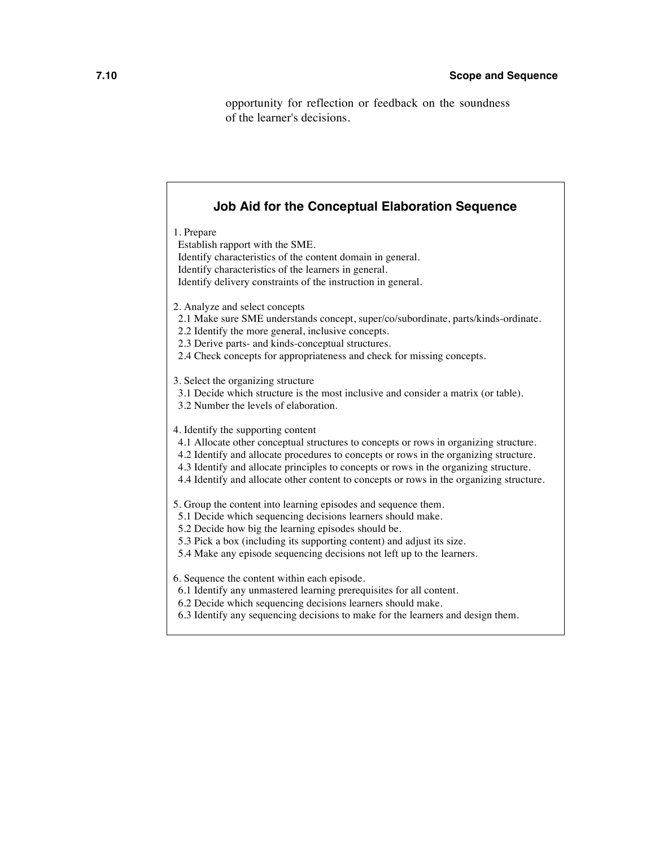opportunity for reflection or feedback on the soundness of the learner's decisions.

| <b>Job Aid for the Conceptual Elaboration Sequence</b>                                                                                                                                                                                                                                                                                                                                                    |
|-----------------------------------------------------------------------------------------------------------------------------------------------------------------------------------------------------------------------------------------------------------------------------------------------------------------------------------------------------------------------------------------------------------|
| 1. Prepare<br>Establish rapport with the SME.<br>Identify characteristics of the content domain in general.<br>Identify characteristics of the learners in general.<br>Identify delivery constraints of the instruction in general.                                                                                                                                                                       |
| 2. Analyze and select concepts<br>2.1 Make sure SME understands concept, super/co/subordinate, parts/kinds-ordinate.<br>2.2 Identify the more general, inclusive concepts.<br>2.3 Derive parts- and kinds-conceptual structures.<br>2.4 Check concepts for appropriateness and check for missing concepts.                                                                                                |
| 3. Select the organizing structure<br>3.1 Decide which structure is the most inclusive and consider a matrix (or table).<br>3.2 Number the levels of elaboration.                                                                                                                                                                                                                                         |
| 4. Identify the supporting content<br>4.1 Allocate other conceptual structures to concepts or rows in organizing structure.<br>4.2 Identify and allocate procedures to concepts or rows in the organizing structure.<br>4.3 Identify and allocate principles to concepts or rows in the organizing structure.<br>4.4 Identify and allocate other content to concepts or rows in the organizing structure. |
| 5. Group the content into learning episodes and sequence them.<br>5.1 Decide which sequencing decisions learners should make.<br>5.2 Decide how big the learning episodes should be.<br>5.3 Pick a box (including its supporting content) and adjust its size.<br>5.4 Make any episode sequencing decisions not left up to the learners.                                                                  |
| 6. Sequence the content within each episode.<br>6.1 Identify any unmastered learning prerequisites for all content.<br>6.2 Decide which sequencing decisions learners should make.<br>6.3 Identify any sequencing decisions to make for the learners and design them.                                                                                                                                     |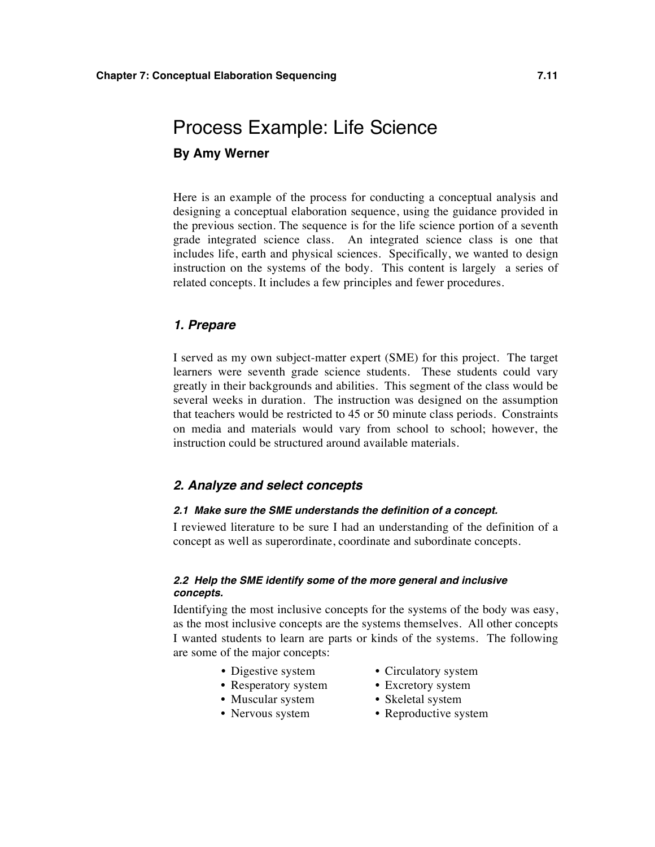## Process Example: Life Science **By Amy Werner**

Here is an example of the process for conducting a conceptual analysis and designing a conceptual elaboration sequence, using the guidance provided in the previous section. The sequence is for the life science portion of a seventh grade integrated science class. An integrated science class is one that includes life, earth and physical sciences. Specifically, we wanted to design instruction on the systems of the body. This content is largely a series of related concepts. It includes a few principles and fewer procedures.

#### *1. Prepare*

I served as my own subject-matter expert (SME) for this project. The target learners were seventh grade science students. These students could vary greatly in their backgrounds and abilities. This segment of the class would be several weeks in duration. The instruction was designed on the assumption that teachers would be restricted to 45 or 50 minute class periods. Constraints on media and materials would vary from school to school; however, the instruction could be structured around available materials.

#### *2. Analyze and select concepts*

#### *2.1 Make sure the SME understands the definition of a concept.*

I reviewed literature to be sure I had an understanding of the definition of a concept as well as superordinate, coordinate and subordinate concepts.

#### *2.2 Help the SME identify some of the more general and inclusive concepts.*

Identifying the most inclusive concepts for the systems of the body was easy, as the most inclusive concepts are the systems themselves. All other concepts I wanted students to learn are parts or kinds of the systems. The following are some of the major concepts:

- Digestive system Circulatory system
- Resperatory system Excretory system
- Muscular system Skeletal system
- 
- 
- 
- 
- Nervous system Reproductive system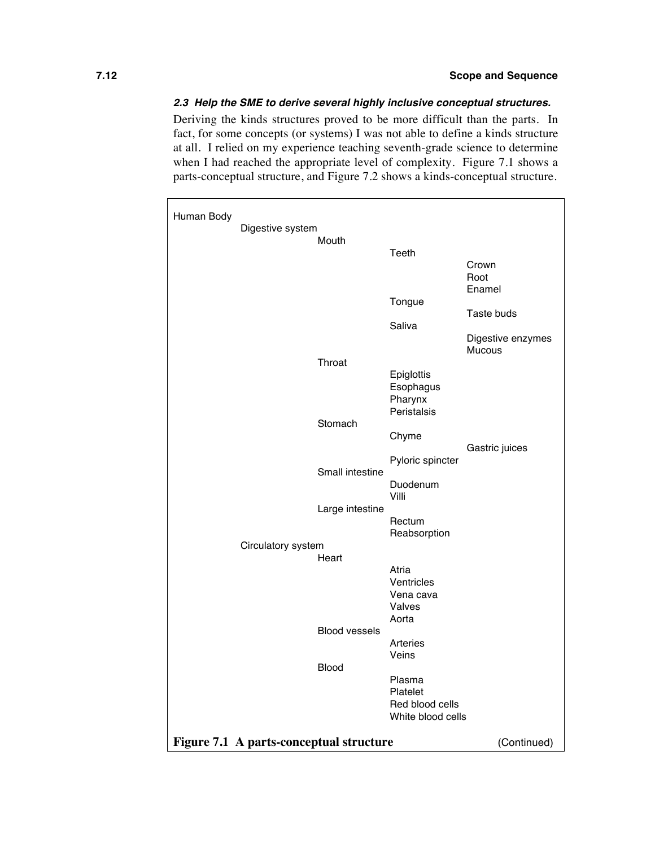#### *2.3 Help the SME to derive several highly inclusive conceptual structures.*

Deriving the kinds structures proved to be more difficult than the parts. In fact, for some concepts (or systems) I was not able to define a kinds structure at all. I relied on my experience teaching seventh-grade science to determine when I had reached the appropriate level of complexity. Figure 7.1 shows a parts-conceptual structure, and Figure 7.2 shows a kinds-conceptual structure.

| Human Body | Digestive system                        |                      |                                      |                             |
|------------|-----------------------------------------|----------------------|--------------------------------------|-----------------------------|
|            |                                         | Mouth                |                                      |                             |
|            |                                         |                      | Teeth                                |                             |
|            |                                         |                      |                                      | Crown                       |
|            |                                         |                      |                                      | Root                        |
|            |                                         |                      | Tongue                               | Enamel                      |
|            |                                         |                      |                                      | Taste buds                  |
|            |                                         |                      | Saliva                               |                             |
|            |                                         |                      |                                      | Digestive enzymes<br>Mucous |
|            |                                         | Throat               |                                      |                             |
|            |                                         |                      | Epiglottis                           |                             |
|            |                                         |                      | Esophagus<br>Pharynx                 |                             |
|            |                                         |                      | Peristalsis                          |                             |
|            |                                         | Stomach              |                                      |                             |
|            |                                         |                      | Chyme                                | Gastric juices              |
|            |                                         | Small intestine      | Pyloric spincter                     |                             |
|            |                                         |                      | Duodenum<br>Villi                    |                             |
|            |                                         | Large intestine      | Rectum                               |                             |
|            |                                         |                      | Reabsorption                         |                             |
|            | Circulatory system                      |                      |                                      |                             |
|            |                                         | Heart                | Atria                                |                             |
|            |                                         |                      | Ventricles                           |                             |
|            |                                         |                      | Vena cava                            |                             |
|            |                                         |                      | Valves                               |                             |
|            |                                         |                      | Aorta                                |                             |
|            |                                         | <b>Blood vessels</b> |                                      |                             |
|            |                                         |                      | Arteries<br>Veins                    |                             |
|            |                                         | <b>Blood</b>         |                                      |                             |
|            |                                         |                      | Plasma                               |                             |
|            |                                         |                      | Platelet                             |                             |
|            |                                         |                      | Red blood cells<br>White blood cells |                             |
|            |                                         |                      |                                      |                             |
|            | Figure 7.1 A parts-conceptual structure |                      |                                      | (Continued)                 |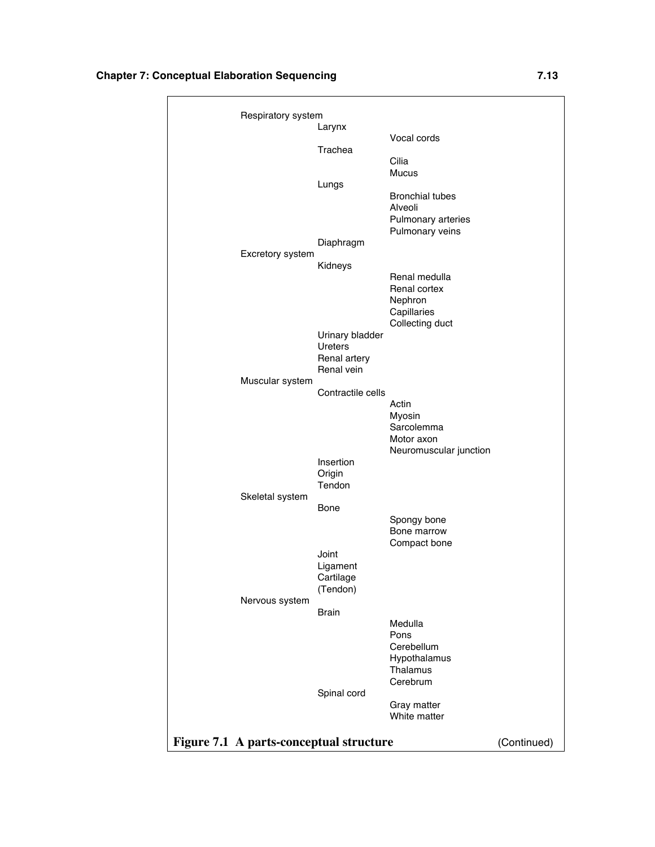#### **Chapter 7: Conceptual Elaboration Sequencing 7.13**

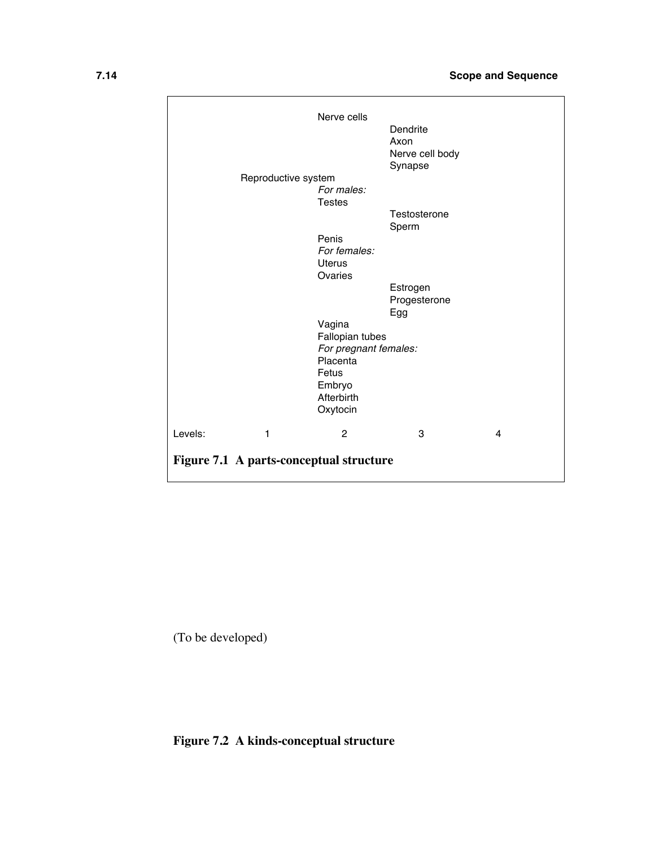|                                         | Nerve cells                                       | Dendrite<br>Axon<br>Nerve cell body<br>Synapse |   |
|-----------------------------------------|---------------------------------------------------|------------------------------------------------|---|
| Reproductive system                     |                                                   |                                                |   |
|                                         | For males:<br><b>Testes</b>                       |                                                |   |
|                                         |                                                   | Testosterone                                   |   |
|                                         |                                                   | Sperm                                          |   |
|                                         | Penis<br>For females:<br><b>Uterus</b><br>Ovaries |                                                |   |
|                                         |                                                   | Estrogen                                       |   |
|                                         |                                                   | Progesterone<br>Egg                            |   |
|                                         | Vagina                                            |                                                |   |
|                                         | Fallopian tubes                                   |                                                |   |
|                                         | For pregnant females:                             |                                                |   |
|                                         | Placenta<br>Fetus                                 |                                                |   |
|                                         | Embryo                                            |                                                |   |
|                                         | Afterbirth                                        |                                                |   |
|                                         | Oxytocin                                          |                                                |   |
| Levels:<br>1                            | $\overline{2}$                                    | 3                                              | 4 |
| Figure 7.1 A parts-conceptual structure |                                                   |                                                |   |

(To be developed)

**Figure 7.2 A kinds-conceptual structure**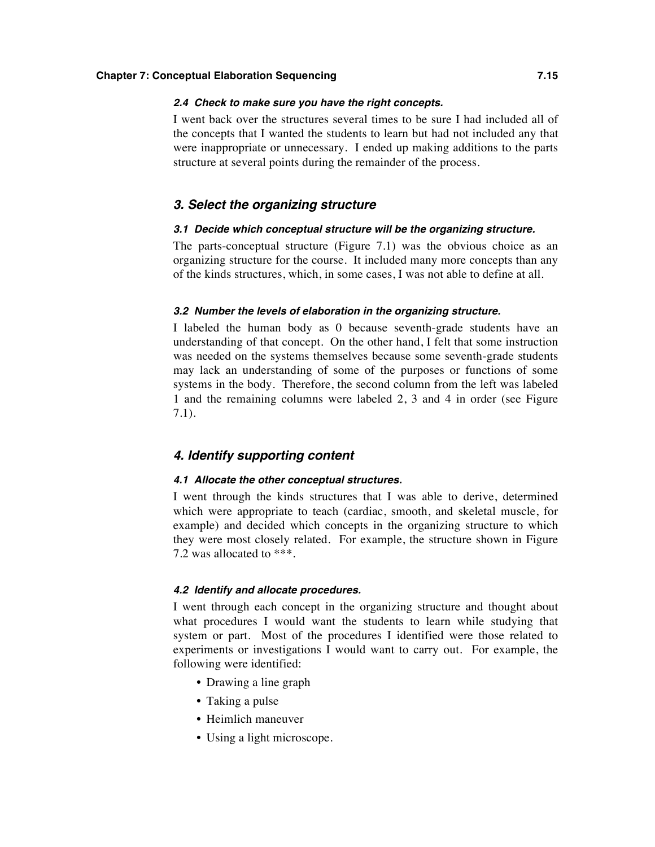#### **Chapter 7: Conceptual Elaboration Sequencing 7.15**

#### *2.4 Check to make sure you have the right concepts.*

I went back over the structures several times to be sure I had included all of the concepts that I wanted the students to learn but had not included any that were inappropriate or unnecessary. I ended up making additions to the parts structure at several points during the remainder of the process.

#### *3. Select the organizing structure*

#### *3.1 Decide which conceptual structure will be the organizing structure.*

The parts-conceptual structure (Figure 7.1) was the obvious choice as an organizing structure for the course. It included many more concepts than any of the kinds structures, which, in some cases, I was not able to define at all.

#### *3.2 Number the levels of elaboration in the organizing structure.*

I labeled the human body as 0 because seventh-grade students have an understanding of that concept. On the other hand, I felt that some instruction was needed on the systems themselves because some seventh-grade students may lack an understanding of some of the purposes or functions of some systems in the body. Therefore, the second column from the left was labeled 1 and the remaining columns were labeled 2, 3 and 4 in order (see Figure 7.1).

#### *4. Identify supporting content*

#### *4.1 Allocate the other conceptual structures.*

I went through the kinds structures that I was able to derive, determined which were appropriate to teach (cardiac, smooth, and skeletal muscle, for example) and decided which concepts in the organizing structure to which they were most closely related. For example, the structure shown in Figure 7.2 was allocated to \*\*\*.

#### *4.2 Identify and allocate procedures.*

I went through each concept in the organizing structure and thought about what procedures I would want the students to learn while studying that system or part. Most of the procedures I identified were those related to experiments or investigations I would want to carry out. For example, the following were identified:

- Drawing a line graph
- Taking a pulse
- Heimlich maneuver
- Using a light microscope.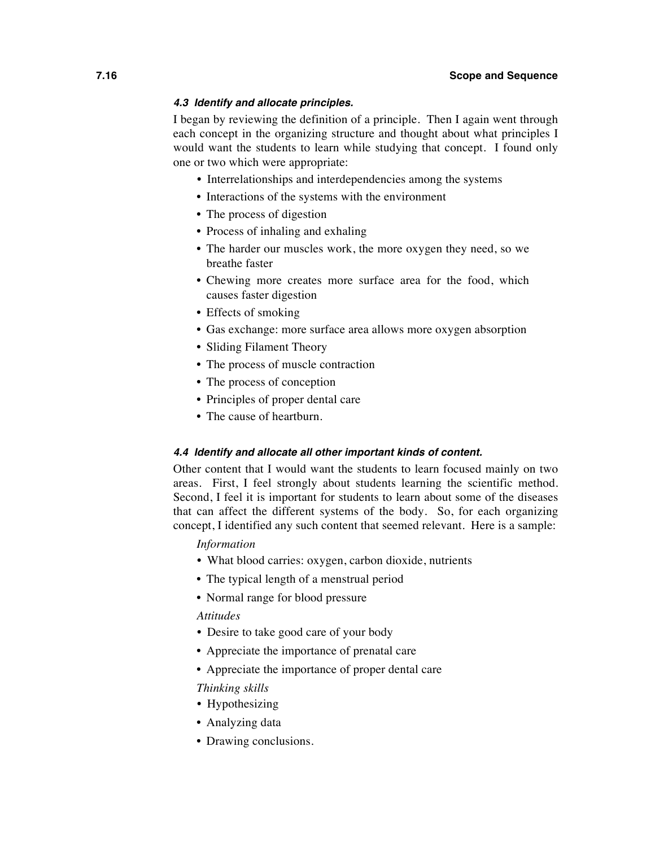#### *4.3 Identify and allocate principles.*

I began by reviewing the definition of a principle. Then I again went through each concept in the organizing structure and thought about what principles I would want the students to learn while studying that concept. I found only one or two which were appropriate:

- Interrelationships and interdependencies among the systems
- Interactions of the systems with the environment
- The process of digestion
- Process of inhaling and exhaling
- The harder our muscles work, the more oxygen they need, so we breathe faster
- Chewing more creates more surface area for the food, which causes faster digestion
- Effects of smoking
- Gas exchange: more surface area allows more oxygen absorption
- Sliding Filament Theory
- The process of muscle contraction
- The process of conception
- Principles of proper dental care
- The cause of heartburn.

#### *4.4 Identify and allocate all other important kinds of content.*

Other content that I would want the students to learn focused mainly on two areas. First, I feel strongly about students learning the scientific method. Second, I feel it is important for students to learn about some of the diseases that can affect the different systems of the body. So, for each organizing concept, I identified any such content that seemed relevant. Here is a sample:

#### *Information*

- What blood carries: oxygen, carbon dioxide, nutrients
- The typical length of a menstrual period
- Normal range for blood pressure

#### *Attitudes*

- Desire to take good care of your body
- Appreciate the importance of prenatal care
- Appreciate the importance of proper dental care

*Thinking skills*

- Hypothesizing
- Analyzing data
- Drawing conclusions.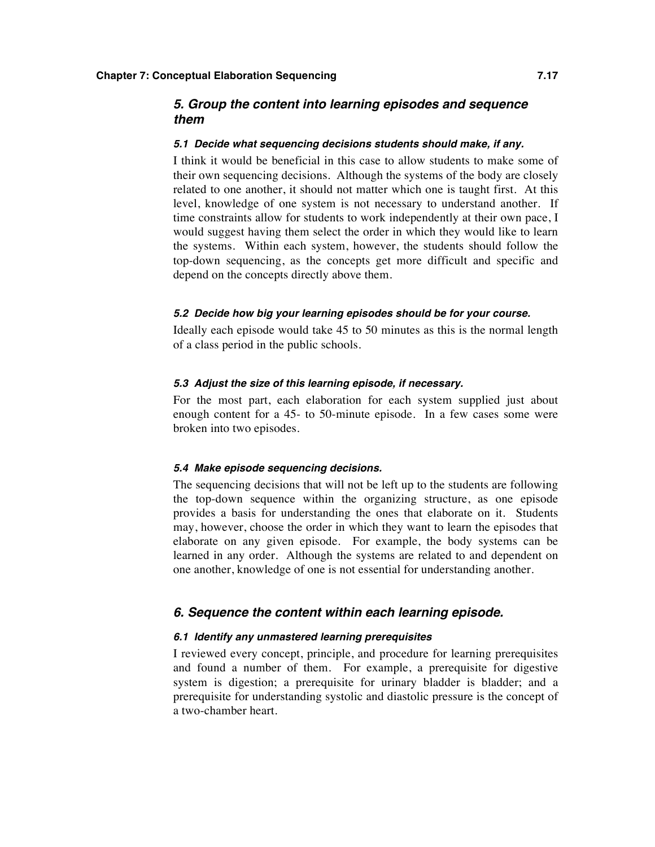#### *5. Group the content into learning episodes and sequence them*

#### *5.1 Decide what sequencing decisions students should make, if any.*

I think it would be beneficial in this case to allow students to make some of their own sequencing decisions. Although the systems of the body are closely related to one another, it should not matter which one is taught first. At this level, knowledge of one system is not necessary to understand another. If time constraints allow for students to work independently at their own pace, I would suggest having them select the order in which they would like to learn the systems. Within each system, however, the students should follow the top-down sequencing, as the concepts get more difficult and specific and depend on the concepts directly above them.

#### *5.2 Decide how big your learning episodes should be for your course.*

Ideally each episode would take 45 to 50 minutes as this is the normal length of a class period in the public schools.

#### *5.3 Adjust the size of this learning episode, if necessary.*

For the most part, each elaboration for each system supplied just about enough content for a 45- to 50-minute episode. In a few cases some were broken into two episodes.

#### *5.4 Make episode sequencing decisions.*

The sequencing decisions that will not be left up to the students are following the top-down sequence within the organizing structure, as one episode provides a basis for understanding the ones that elaborate on it. Students may, however, choose the order in which they want to learn the episodes that elaborate on any given episode. For example, the body systems can be learned in any order. Although the systems are related to and dependent on one another, knowledge of one is not essential for understanding another.

#### *6. Sequence the content within each learning episode.*

#### *6.1 Identify any unmastered learning prerequisites*

I reviewed every concept, principle, and procedure for learning prerequisites and found a number of them. For example, a prerequisite for digestive system is digestion; a prerequisite for urinary bladder is bladder; and a prerequisite for understanding systolic and diastolic pressure is the concept of a two-chamber heart.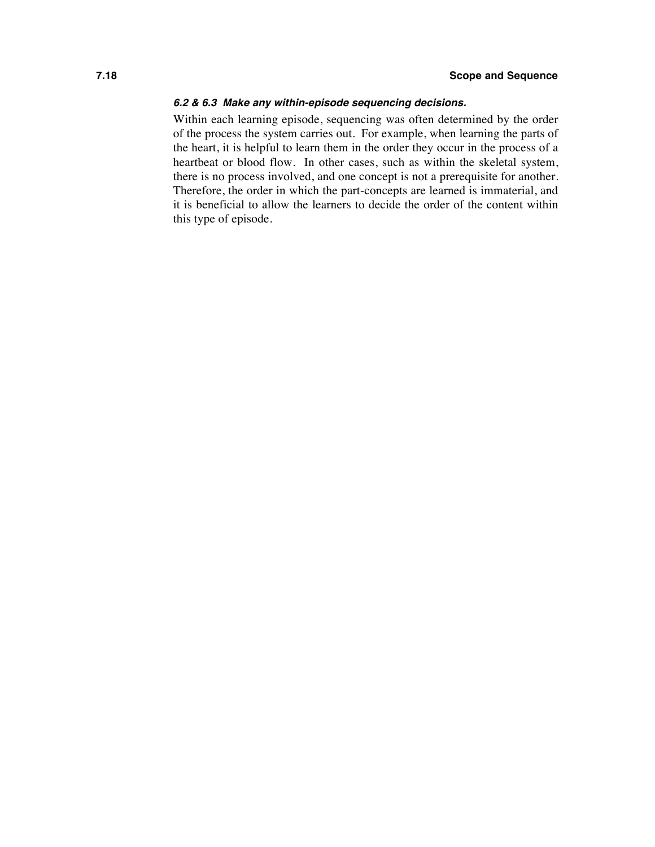#### *6.2 & 6.3 Make any within-episode sequencing decisions.*

Within each learning episode, sequencing was often determined by the order of the process the system carries out. For example, when learning the parts of the heart, it is helpful to learn them in the order they occur in the process of a heartbeat or blood flow. In other cases, such as within the skeletal system, there is no process involved, and one concept is not a prerequisite for another. Therefore, the order in which the part-concepts are learned is immaterial, and it is beneficial to allow the learners to decide the order of the content within this type of episode.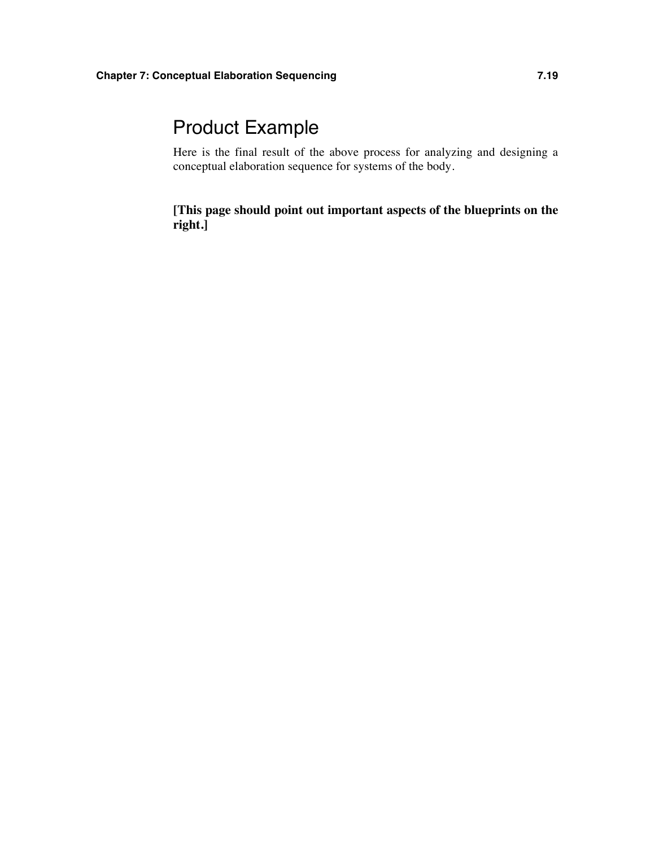## Product Example

Here is the final result of the above process for analyzing and designing a conceptual elaboration sequence for systems of the body.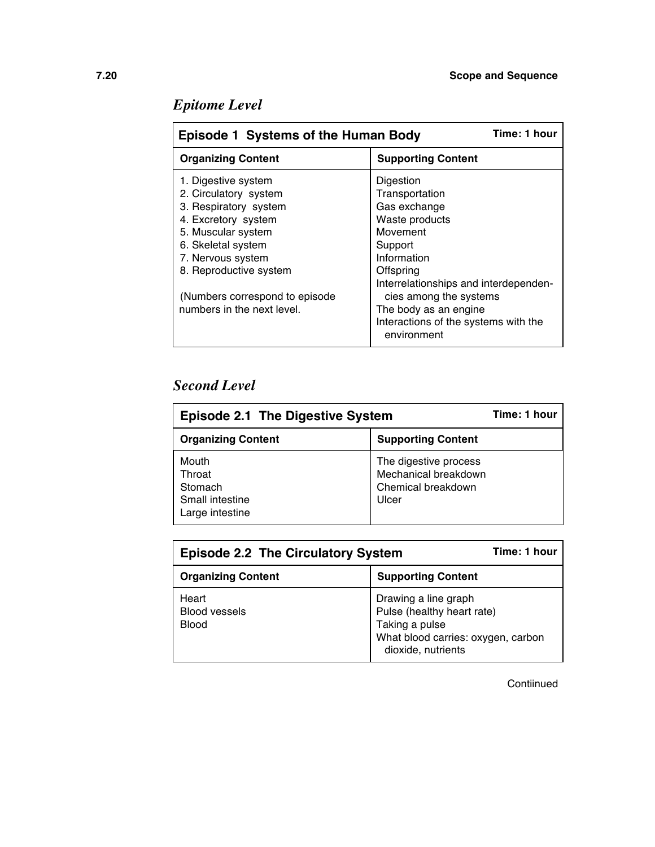| Time: 1 hour<br><b>Episode 1 Systems of the Human Body</b> |                                       |  |
|------------------------------------------------------------|---------------------------------------|--|
| <b>Organizing Content</b>                                  | <b>Supporting Content</b>             |  |
| 1. Digestive system                                        | Digestion                             |  |
| 2. Circulatory system                                      | Transportation                        |  |
| 3. Respiratory system                                      | Gas exchange                          |  |
| 4. Excretory system                                        | Waste products                        |  |
| 5. Muscular system                                         | Movement                              |  |
| 6. Skeletal system                                         | Support                               |  |
| 7. Nervous system                                          | Information                           |  |
| 8. Reproductive system                                     | Offspring                             |  |
|                                                            | Interrelationships and interdependen- |  |
| (Numbers correspond to episode                             | cies among the systems                |  |
| numbers in the next level.                                 | The body as an engine                 |  |
|                                                            | Interactions of the systems with the  |  |
|                                                            | environment                           |  |

### *Second Level*

| <b>Episode 2.1 The Digestive System</b>                          | Time: 1 hour                                                                 |  |
|------------------------------------------------------------------|------------------------------------------------------------------------------|--|
| <b>Organizing Content</b>                                        | <b>Supporting Content</b>                                                    |  |
| Mouth<br>Throat<br>Stomach<br>Small intestine<br>Large intestine | The digestive process<br>Mechanical breakdown<br>Chemical breakdown<br>Ulcer |  |

| <b>Episode 2.2 The Circulatory System</b>     | Time: 1 hour                                                                                                                     |
|-----------------------------------------------|----------------------------------------------------------------------------------------------------------------------------------|
| <b>Organizing Content</b>                     | <b>Supporting Content</b>                                                                                                        |
| Heart<br><b>Blood vessels</b><br><b>Blood</b> | Drawing a line graph<br>Pulse (healthy heart rate)<br>Taking a pulse<br>What blood carries: oxygen, carbon<br>dioxide, nutrients |

Contiinued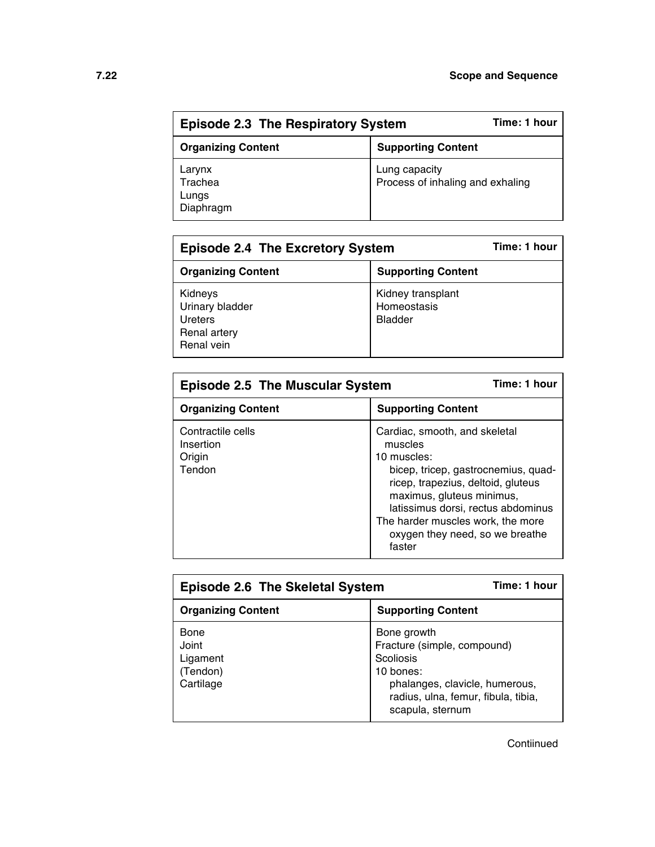| Time: 1 hour<br><b>Episode 2.3 The Respiratory System</b> |                                                   |  |
|-----------------------------------------------------------|---------------------------------------------------|--|
| <b>Organizing Content</b>                                 | <b>Supporting Content</b>                         |  |
| Larynx<br>Trachea<br>Lungs<br>Diaphragm                   | Lung capacity<br>Process of inhaling and exhaling |  |

| <b>Episode 2.4 The Excretory System</b>                             | Time: 1 hour                                       |  |
|---------------------------------------------------------------------|----------------------------------------------------|--|
| <b>Organizing Content</b>                                           | <b>Supporting Content</b>                          |  |
| Kidneys<br>Urinary bladder<br>Ureters<br>Renal artery<br>Renal vein | Kidney transplant<br>Homeostasis<br><b>Bladder</b> |  |

| <b>Episode 2.5 The Muscular System</b>             | Time: 1 hour                                                                                                                                                                                                                                                                              |
|----------------------------------------------------|-------------------------------------------------------------------------------------------------------------------------------------------------------------------------------------------------------------------------------------------------------------------------------------------|
| <b>Organizing Content</b>                          | <b>Supporting Content</b>                                                                                                                                                                                                                                                                 |
| Contractile cells<br>Insertion<br>Origin<br>Tendon | Cardiac, smooth, and skeletal<br>muscles<br>10 muscles:<br>bicep, tricep, gastrocnemius, quad-<br>ricep, trapezius, deltoid, gluteus<br>maximus, gluteus minimus,<br>latissimus dorsi, rectus abdominus<br>The harder muscles work, the more<br>oxygen they need, so we breathe<br>faster |

| <b>Episode 2.6 The Skeletal System</b>             | Time: 1 hour                                                                                                                                                      |
|----------------------------------------------------|-------------------------------------------------------------------------------------------------------------------------------------------------------------------|
| <b>Organizing Content</b>                          | <b>Supporting Content</b>                                                                                                                                         |
| Bone<br>Joint<br>Ligament<br>(Tendon)<br>Cartilage | Bone growth<br>Fracture (simple, compound)<br>Scoliosis<br>10 bones:<br>phalanges, clavicle, humerous,<br>radius, ulna, femur, fibula, tibia,<br>scapula, sternum |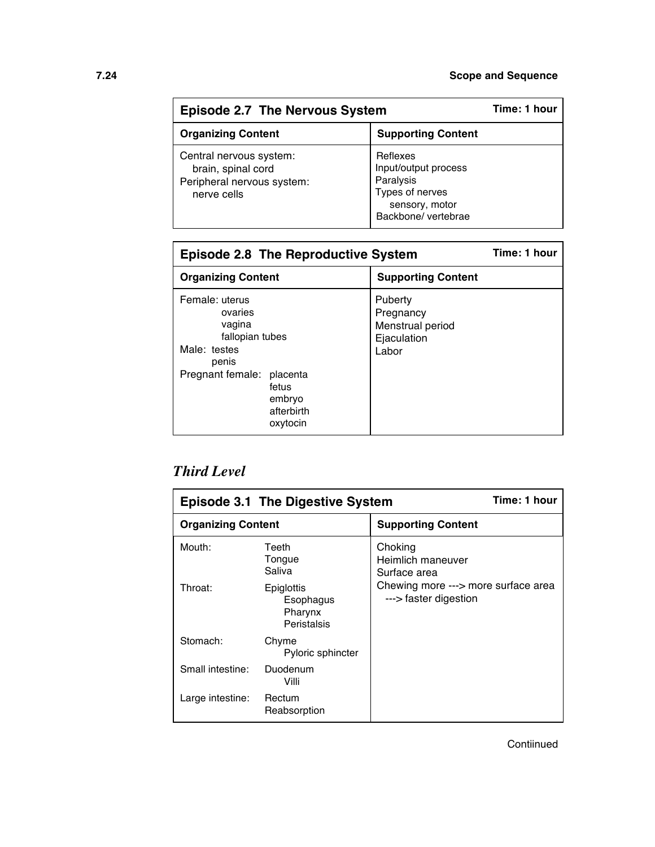| <b>Episode 2.7 The Nervous System</b>                                                      |                                                                                                           | Time: 1 hour |
|--------------------------------------------------------------------------------------------|-----------------------------------------------------------------------------------------------------------|--------------|
| <b>Organizing Content</b>                                                                  | <b>Supporting Content</b>                                                                                 |              |
| Central nervous system:<br>brain, spinal cord<br>Peripheral nervous system:<br>nerve cells | Reflexes<br>Input/output process<br>Paralysis<br>Types of nerves<br>sensory, motor<br>Backbone/ vertebrae |              |

| <b>Episode 2.8 The Reproductive System</b>                                                                                                                | Time: 1 hour                                                     |  |
|-----------------------------------------------------------------------------------------------------------------------------------------------------------|------------------------------------------------------------------|--|
| <b>Organizing Content</b>                                                                                                                                 | <b>Supporting Content</b>                                        |  |
| Female: uterus<br>ovaries<br>vagina<br>fallopian tubes<br>Male: testes<br>penis<br>Pregnant female: placenta<br>fetus<br>embryo<br>afterbirth<br>oxytocin | Puberty<br>Pregnancy<br>Menstrual period<br>Ejaculation<br>Labor |  |

### *Third Level*

| Time: 1 hour<br><b>Episode 3.1 The Digestive System</b> |                                                   |                                                              |  |
|---------------------------------------------------------|---------------------------------------------------|--------------------------------------------------------------|--|
| <b>Organizing Content</b>                               |                                                   | <b>Supporting Content</b>                                    |  |
| Mouth:                                                  | Teeth<br>Tongue<br>Saliva                         | Choking<br>Heimlich maneuver<br>Surface area                 |  |
| Throat:                                                 | Epiglottis<br>Esophagus<br>Pharynx<br>Peristalsis | Chewing more ---> more surface area<br>---> faster digestion |  |
| Stomach:                                                | Chyme<br>Pyloric sphincter                        |                                                              |  |
| Small intestine:                                        | Duodenum<br>Villi                                 |                                                              |  |
| Large intestine:                                        | Rectum<br>Reabsorption                            |                                                              |  |

**Contiinued**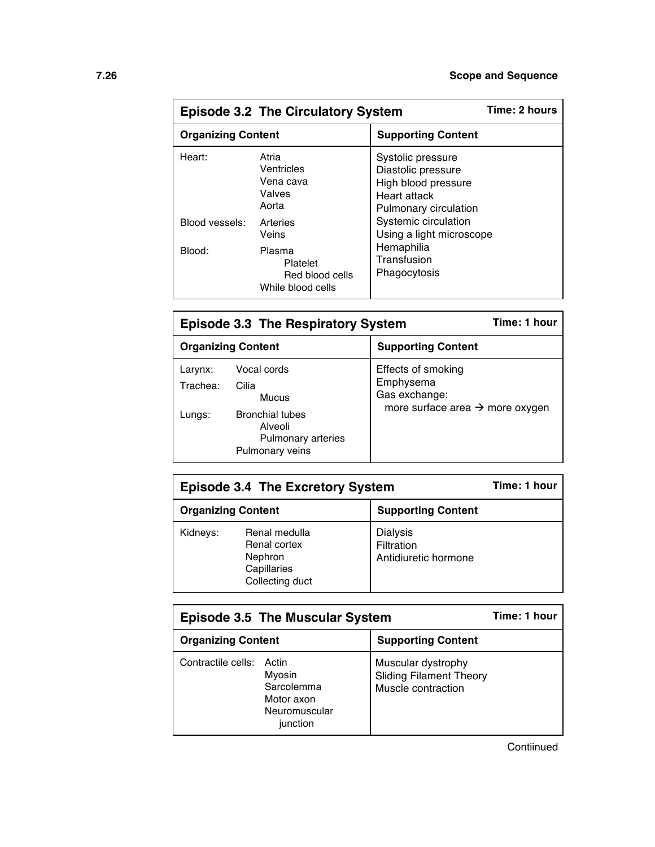| <b>Episode 3.2 The Circulatory System</b> |                                                            |                                                                                                         | Time: 2 hours |
|-------------------------------------------|------------------------------------------------------------|---------------------------------------------------------------------------------------------------------|---------------|
| <b>Organizing Content</b>                 |                                                            | <b>Supporting Content</b>                                                                               |               |
| Heart:                                    | Atria<br>Ventricles<br>Vena cava<br>Valves<br>Aorta        | Systolic pressure<br>Diastolic pressure<br>High blood pressure<br>Heart attack<br>Pulmonary circulation |               |
| Blood vessels:                            | Arteries<br>Veins                                          | Systemic circulation<br>Using a light microscope                                                        |               |
| Blood:                                    | Plasma<br>Platelet<br>Red blood cells<br>While blood cells | Hemaphilia<br>Transfusion<br>Phagocytosis                                                               |               |

| <b>Episode 3.3 The Respiratory System</b> | Time: 1 hour                                                                                                       |                                                                                                 |
|-------------------------------------------|--------------------------------------------------------------------------------------------------------------------|-------------------------------------------------------------------------------------------------|
|                                           | <b>Organizing Content</b>                                                                                          | <b>Supporting Content</b>                                                                       |
| Larynx:<br>Trachea:<br>Lungs:             | Vocal cords<br>Cilia<br>Mucus<br><b>Bronchial tubes</b><br>Alveoli<br><b>Pulmonary arteries</b><br>Pulmonary veins | Effects of smoking<br>Emphysema<br>Gas exchange:<br>more surface area $\rightarrow$ more oxygen |

| <b>Episode 3.4 The Excretory System</b>                |                                                                            |                                                       | Time: 1 hour |
|--------------------------------------------------------|----------------------------------------------------------------------------|-------------------------------------------------------|--------------|
| <b>Organizing Content</b><br><b>Supporting Content</b> |                                                                            |                                                       |              |
| Kidneys:                                               | Renal medulla<br>Renal cortex<br>Nephron<br>Capillaries<br>Collecting duct | <b>Dialysis</b><br>Filtration<br>Antidiuretic hormone |              |

| <b>Episode 3.5 The Muscular System</b>                                                      | Time: 1 hour                                                               |
|---------------------------------------------------------------------------------------------|----------------------------------------------------------------------------|
| <b>Organizing Content</b>                                                                   | <b>Supporting Content</b>                                                  |
| Contractile cells: Actin<br>Myosin<br>Sarcolemma<br>Motor axon<br>Neuromuscular<br>junction | Muscular dystrophy<br><b>Sliding Filament Theory</b><br>Muscle contraction |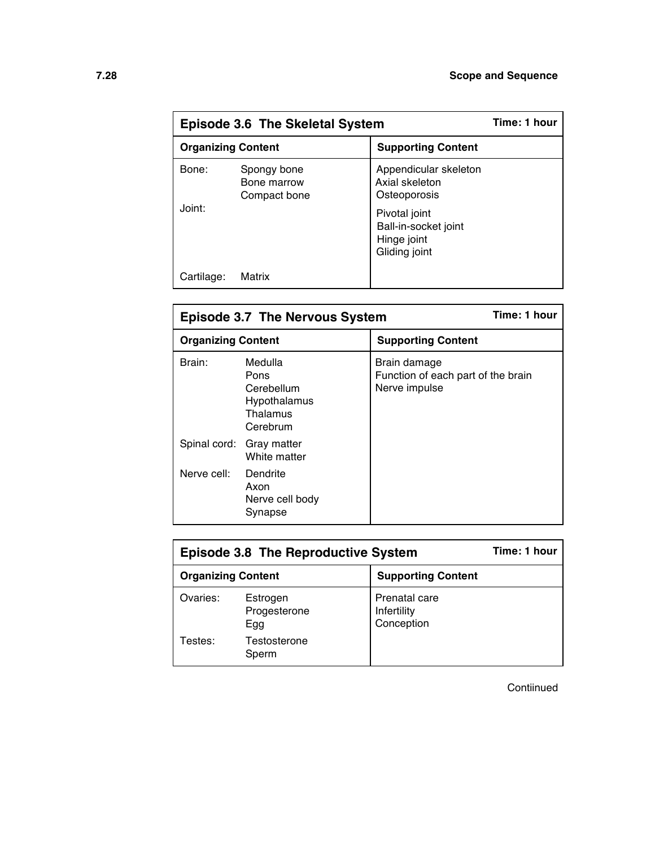| Episode 3.6 The Skeletal System |                                            |                                                                       | Time: 1 hour |
|---------------------------------|--------------------------------------------|-----------------------------------------------------------------------|--------------|
| <b>Organizing Content</b>       |                                            | <b>Supporting Content</b>                                             |              |
| Bone:                           | Spongy bone<br>Bone marrow<br>Compact bone | Appendicular skeleton<br>Axial skeleton<br>Osteoporosis               |              |
| Joint:                          |                                            | Pivotal joint<br>Ball-in-socket joint<br>Hinge joint<br>Gliding joint |              |
| Cartilage:                      | Matrix                                     |                                                                       |              |

| Time: 1 hour<br><b>Episode 3.7 The Nervous System</b> |                                                                       |                                                                     |
|-------------------------------------------------------|-----------------------------------------------------------------------|---------------------------------------------------------------------|
| <b>Organizing Content</b>                             |                                                                       | <b>Supporting Content</b>                                           |
| Brain:                                                | Medulla<br>Pons<br>Cerebellum<br>Hypothalamus<br>Thalamus<br>Cerebrum | Brain damage<br>Function of each part of the brain<br>Nerve impulse |
|                                                       | Spinal cord: Gray matter<br>White matter                              |                                                                     |
| Nerve cell:                                           | Dendrite<br>Axon<br>Nerve cell body<br>Synapse                        |                                                                     |

| <b>Episode 3.8 The Reproductive System</b> |                                 |                                            | Time: 1 hour |
|--------------------------------------------|---------------------------------|--------------------------------------------|--------------|
| <b>Organizing Content</b>                  |                                 | <b>Supporting Content</b>                  |              |
| Ovaries:                                   | Estrogen<br>Progesterone<br>Egg | Prenatal care<br>Infertility<br>Conception |              |
| Testes:                                    | Testosterone<br>Sperm           |                                            |              |

**Contiinued**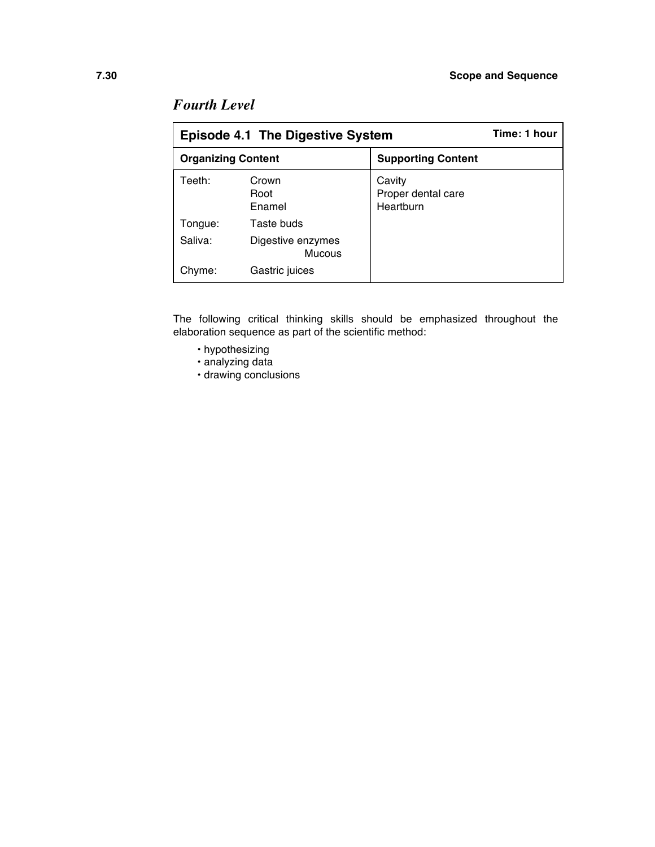| <b>Episode 4.1 The Digestive System</b> |                                    |                                           | Time: 1 hour |
|-----------------------------------------|------------------------------------|-------------------------------------------|--------------|
| <b>Organizing Content</b>               |                                    | <b>Supporting Content</b>                 |              |
| Teeth:                                  | Crown<br>Root<br>Enamel            | Cavity<br>Proper dental care<br>Heartburn |              |
| Tonque:                                 | Taste buds                         |                                           |              |
| Saliva:                                 | Digestive enzymes<br><b>Mucous</b> |                                           |              |
| Chyme:                                  | Gastric juices                     |                                           |              |

### *Fourth Level*

The following critical thinking skills should be emphasized throughout the elaboration sequence as part of the scientific method:

- hypothesizing
- analyzing data
- drawing conclusions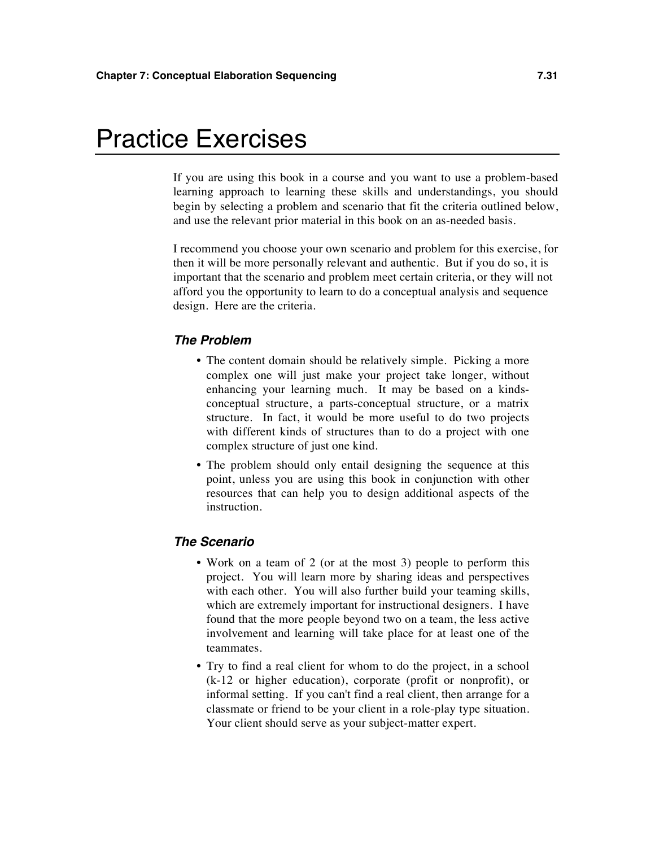## Practice Exercises

If you are using this book in a course and you want to use a problem-based learning approach to learning these skills and understandings, you should begin by selecting a problem and scenario that fit the criteria outlined below, and use the relevant prior material in this book on an as-needed basis.

I recommend you choose your own scenario and problem for this exercise, for then it will be more personally relevant and authentic. But if you do so, it is important that the scenario and problem meet certain criteria, or they will not afford you the opportunity to learn to do a conceptual analysis and sequence design. Here are the criteria.

#### *The Problem*

- The content domain should be relatively simple. Picking a more complex one will just make your project take longer, without enhancing your learning much. It may be based on a kindsconceptual structure, a parts-conceptual structure, or a matrix structure. In fact, it would be more useful to do two projects with different kinds of structures than to do a project with one complex structure of just one kind.
- The problem should only entail designing the sequence at this point, unless you are using this book in conjunction with other resources that can help you to design additional aspects of the instruction.

#### *The Scenario*

- Work on a team of 2 (or at the most 3) people to perform this project. You will learn more by sharing ideas and perspectives with each other. You will also further build your teaming skills, which are extremely important for instructional designers. I have found that the more people beyond two on a team, the less active involvement and learning will take place for at least one of the teammates.
- Try to find a real client for whom to do the project, in a school (k-12 or higher education), corporate (profit or nonprofit), or informal setting. If you can't find a real client, then arrange for a classmate or friend to be your client in a role-play type situation. Your client should serve as your subject-matter expert.